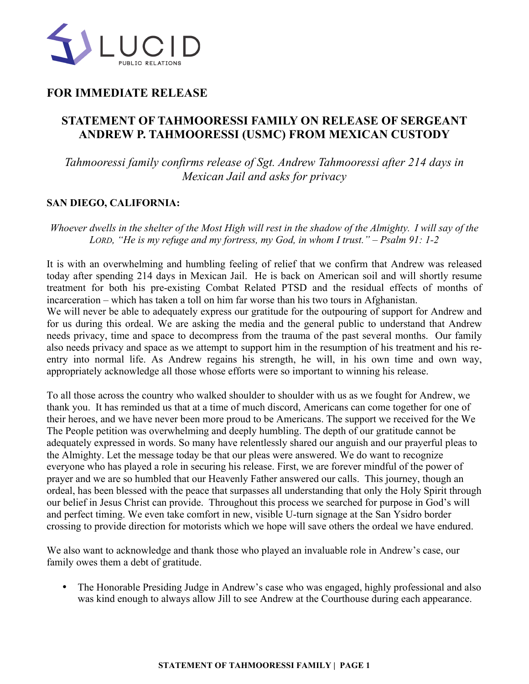

## **FOR IMMEDIATE RELEASE**

## **STATEMENT OF TAHMOORESSI FAMILY ON RELEASE OF SERGEANT ANDREW P. TAHMOORESSI (USMC) FROM MEXICAN CUSTODY**

*Tahmooressi family confirms release of Sgt. Andrew Tahmooressi after 214 days in Mexican Jail and asks for privacy*

## **SAN DIEGO, CALIFORNIA:**

*Whoever dwells in the shelter of the Most High will rest in the shadow of the Almighty. I will say of the LORD, "He is my refuge and my fortress, my God, in whom I trust." – Psalm 91: 1-2*

It is with an overwhelming and humbling feeling of relief that we confirm that Andrew was released today after spending 214 days in Mexican Jail. He is back on American soil and will shortly resume treatment for both his pre-existing Combat Related PTSD and the residual effects of months of incarceration – which has taken a toll on him far worse than his two tours in Afghanistan. We will never be able to adequately express our gratitude for the outpouring of support for Andrew and for us during this ordeal. We are asking the media and the general public to understand that Andrew needs privacy, time and space to decompress from the trauma of the past several months. Our family also needs privacy and space as we attempt to support him in the resumption of his treatment and his reentry into normal life. As Andrew regains his strength, he will, in his own time and own way, appropriately acknowledge all those whose efforts were so important to winning his release.

To all those across the country who walked shoulder to shoulder with us as we fought for Andrew, we thank you. It has reminded us that at a time of much discord, Americans can come together for one of their heroes, and we have never been more proud to be Americans. The support we received for the We The People petition was overwhelming and deeply humbling. The depth of our gratitude cannot be adequately expressed in words. So many have relentlessly shared our anguish and our prayerful pleas to the Almighty. Let the message today be that our pleas were answered. We do want to recognize everyone who has played a role in securing his release. First, we are forever mindful of the power of prayer and we are so humbled that our Heavenly Father answered our calls. This journey, though an ordeal, has been blessed with the peace that surpasses all understanding that only the Holy Spirit through our belief in Jesus Christ can provide. Throughout this process we searched for purpose in God's will and perfect timing. We even take comfort in new, visible U-turn signage at the San Ysidro border crossing to provide direction for motorists which we hope will save others the ordeal we have endured.

We also want to acknowledge and thank those who played an invaluable role in Andrew's case, our family owes them a debt of gratitude.

• The Honorable Presiding Judge in Andrew's case who was engaged, highly professional and also was kind enough to always allow Jill to see Andrew at the Courthouse during each appearance.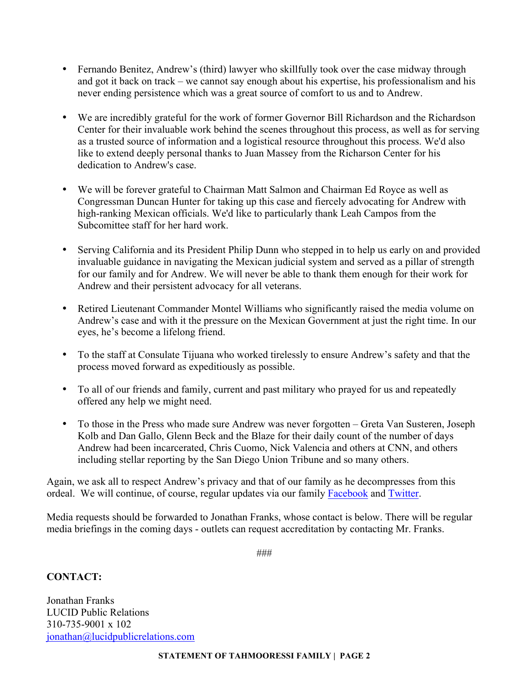- Fernando Benitez, Andrew's (third) lawyer who skillfully took over the case midway through and got it back on track – we cannot say enough about his expertise, his professionalism and his never ending persistence which was a great source of comfort to us and to Andrew.
- We are incredibly grateful for the work of former Governor Bill Richardson and the Richardson Center for their invaluable work behind the scenes throughout this process, as well as for serving as a trusted source of information and a logistical resource throughout this process. We'd also like to extend deeply personal thanks to Juan Massey from the Richarson Center for his dedication to Andrew's case.
- We will be forever grateful to Chairman Matt Salmon and Chairman Ed Royce as well as Congressman Duncan Hunter for taking up this case and fiercely advocating for Andrew with high-ranking Mexican officials. We'd like to particularly thank Leah Campos from the Subcomittee staff for her hard work.
- Serving California and its President Philip Dunn who stepped in to help us early on and provided invaluable guidance in navigating the Mexican judicial system and served as a pillar of strength for our family and for Andrew. We will never be able to thank them enough for their work for Andrew and their persistent advocacy for all veterans.
- Retired Lieutenant Commander Montel Williams who significantly raised the media volume on Andrew's case and with it the pressure on the Mexican Government at just the right time. In our eyes, he's become a lifelong friend.
- To the staff at Consulate Tijuana who worked tirelessly to ensure Andrew's safety and that the process moved forward as expeditiously as possible.
- To all of our friends and family, current and past military who prayed for us and repeatedly offered any help we might need.
- To those in the Press who made sure Andrew was never forgotten Greta Van Susteren, Joseph Kolb and Dan Gallo, Glenn Beck and the Blaze for their daily count of the number of days Andrew had been incarcerated, Chris Cuomo, Nick Valencia and others at CNN, and others including stellar reporting by the San Diego Union Tribune and so many others.

Again, we ask all to respect Andrew's privacy and that of our family as he decompresses from this ordeal. We will continue, of course, regular updates via our family Facebook and Twitter.

Media requests should be forwarded to Jonathan Franks, whose contact is below. There will be regular media briefings in the coming days - outlets can request accreditation by contacting Mr. Franks.

###

## **CONTACT:**

Jonathan Franks LUCID Public Relations 310-735-9001 x 102 jonathan@lucidpublicrelations.com